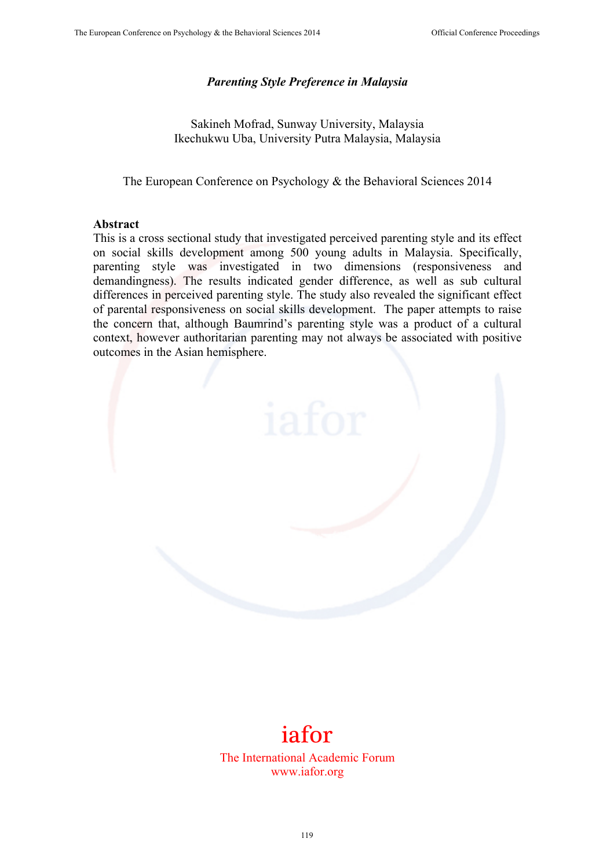## *Parenting Style Preference in Malaysia*

Sakineh Mofrad, Sunway University, Malaysia Ikechukwu Uba, University Putra Malaysia, Malaysia

The European Conference on Psychology & the Behavioral Sciences 2014

#### **Abstract**

This is a cross sectional study that investigated perceived parenting style and its effect on social skills development among 500 young adults in Malaysia. Specifically, parenting style was investigated in two dimensions (responsiveness and demandingness). The results indicated gender difference, as well as sub cultural differences in perceived parenting style. The study also revealed the significant effect of parental responsiveness on social skills development. The paper attempts to raise the concern that, although Baumrind's parenting style was a product of a cultural context, however authoritarian parenting may not always be associated with positive outcomes in the Asian hemisphere.



# iafor

The International Academic Forum www.iafor.org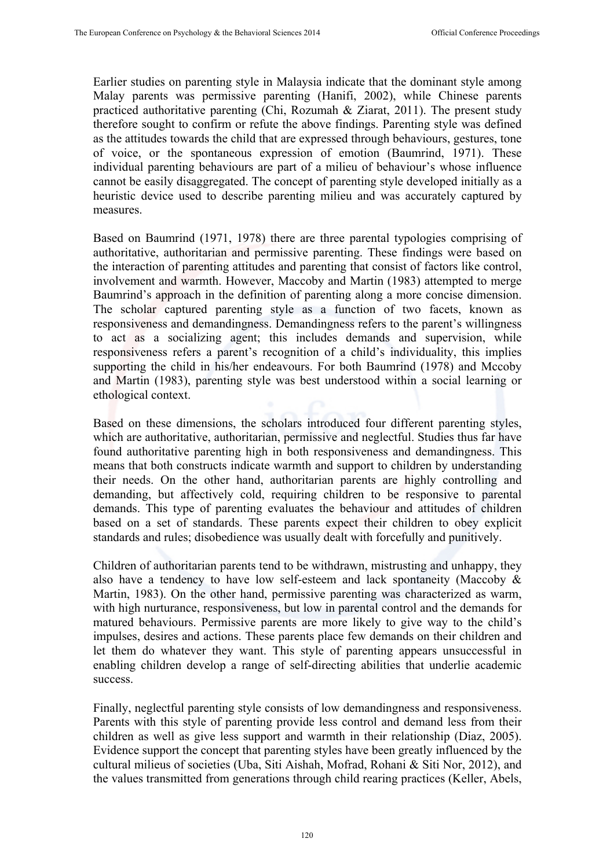Earlier studies on parenting style in Malaysia indicate that the dominant style among Malay parents was permissive parenting (Hanifi, 2002), while Chinese parents practiced authoritative parenting (Chi, Rozumah & Ziarat, 2011). The present study therefore sought to confirm or refute the above findings. Parenting style was defined as the attitudes towards the child that are expressed through behaviours, gestures, tone of voice, or the spontaneous expression of emotion (Baumrind, 1971). These individual parenting behaviours are part of a milieu of behaviour's whose influence cannot be easily disaggregated. The concept of parenting style developed initially as a heuristic device used to describe parenting milieu and was accurately captured by measures.

Based on Baumrind (1971, 1978) there are three parental typologies comprising of authoritative, authoritarian and permissive parenting. These findings were based on the interaction of parenting attitudes and parenting that consist of factors like control, involvement and warmth. However, Maccoby and Martin (1983) attempted to merge Baumrind's approach in the definition of parenting along a more concise dimension. The scholar captured parenting style as a function of two facets, known as responsiveness and demandingness. Demandingness refers to the parent's willingness to act as a socializing agent; this includes demands and supervision, while responsiveness refers a parent's recognition of a child's individuality, this implies supporting the child in his/her endeavours. For both Baumrind (1978) and Mccoby and Martin (1983), parenting style was best understood within a social learning or ethological context.

Based on these dimensions, the scholars introduced four different parenting styles, which are authoritative, authoritarian, permissive and neglectful. Studies thus far have found authoritative parenting high in both responsiveness and demandingness. This means that both constructs indicate warmth and support to children by understanding their needs. On the other hand, authoritarian parents are highly controlling and demanding, but affectively cold, requiring children to be responsive to parental demands. This type of parenting evaluates the behaviour and attitudes of children based on a set of standards. These parents expect their children to obey explicit standards and rules; disobedience was usually dealt with forcefully and punitively.

Children of authoritarian parents tend to be withdrawn, mistrusting and unhappy, they also have a tendency to have low self-esteem and lack spontaneity (Maccoby & Martin, 1983). On the other hand, permissive parenting was characterized as warm, with high nurturance, responsiveness, but low in parental control and the demands for matured behaviours. Permissive parents are more likely to give way to the child's impulses, desires and actions. These parents place few demands on their children and let them do whatever they want. This style of parenting appears unsuccessful in enabling children develop a range of self-directing abilities that underlie academic success.

Finally, neglectful parenting style consists of low demandingness and responsiveness. Parents with this style of parenting provide less control and demand less from their children as well as give less support and warmth in their relationship (Diaz, 2005). Evidence support the concept that parenting styles have been greatly influenced by the cultural milieus of societies (Uba, Siti Aishah, Mofrad, Rohani & Siti Nor, 2012), and the values transmitted from generations through child rearing practices (Keller, Abels,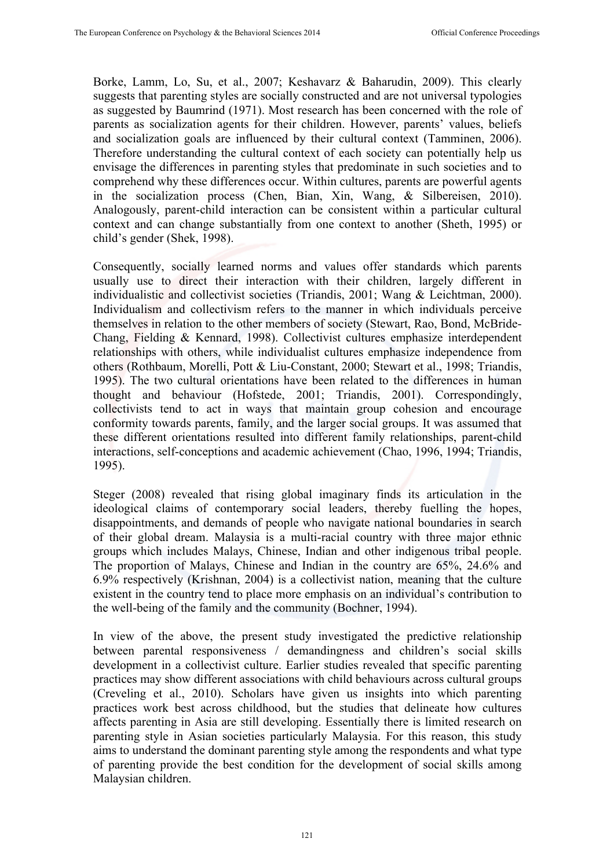Borke, Lamm, Lo, Su, et al., 2007; Keshavarz & Baharudin, 2009). This clearly suggests that parenting styles are socially constructed and are not universal typologies as suggested by Baumrind (1971). Most research has been concerned with the role of parents as socialization agents for their children. However, parents' values, beliefs and socialization goals are influenced by their cultural context (Tamminen, 2006). Therefore understanding the cultural context of each society can potentially help us envisage the differences in parenting styles that predominate in such societies and to comprehend why these differences occur. Within cultures, parents are powerful agents in the socialization process (Chen, Bian, Xin, Wang, & Silbereisen, 2010). Analogously, parent-child interaction can be consistent within a particular cultural context and can change substantially from one context to another (Sheth, 1995) or child's gender (Shek, 1998).

Consequently, socially learned norms and values offer standards which parents usually use to direct their interaction with their children, largely different in individualistic and collectivist societies (Triandis, 2001; Wang & Leichtman, 2000). Individualism and collectivism refers to the manner in which individuals perceive themselves in relation to the other members of society (Stewart, Rao, Bond, McBride-Chang, Fielding & Kennard, 1998). Collectivist cultures emphasize interdependent relationships with others, while individualist cultures emphasize independence from others (Rothbaum, Morelli, Pott & Liu-Constant, 2000; Stewart et al., 1998; Triandis, 1995). The two cultural orientations have been related to the differences in human thought and behaviour (Hofstede, 2001; Triandis, 2001). Correspondingly, collectivists tend to act in ways that maintain group cohesion and encourage conformity towards parents, family, and the larger social groups. It was assumed that these different orientations resulted into different family relationships, parent-child interactions, self-conceptions and academic achievement (Chao, 1996, 1994; Triandis, 1995).

Steger (2008) revealed that rising global imaginary finds its articulation in the ideological claims of contemporary social leaders, thereby fuelling the hopes, disappointments, and demands of people who navigate national boundaries in search of their global dream. Malaysia is a multi-racial country with three major ethnic groups which includes Malays, Chinese, Indian and other indigenous tribal people. The proportion of Malays, Chinese and Indian in the country are 65%, 24.6% and 6.9% respectively (Krishnan, 2004) is a collectivist nation, meaning that the culture existent in the country tend to place more emphasis on an individual's contribution to the well-being of the family and the community (Bochner, 1994).

In view of the above, the present study investigated the predictive relationship between parental responsiveness / demandingness and children's social skills development in a collectivist culture. Earlier studies revealed that specific parenting practices may show different associations with child behaviours across cultural groups (Creveling et al., 2010). Scholars have given us insights into which parenting practices work best across childhood, but the studies that delineate how cultures affects parenting in Asia are still developing. Essentially there is limited research on parenting style in Asian societies particularly Malaysia. For this reason, this study aims to understand the dominant parenting style among the respondents and what type of parenting provide the best condition for the development of social skills among Malaysian children.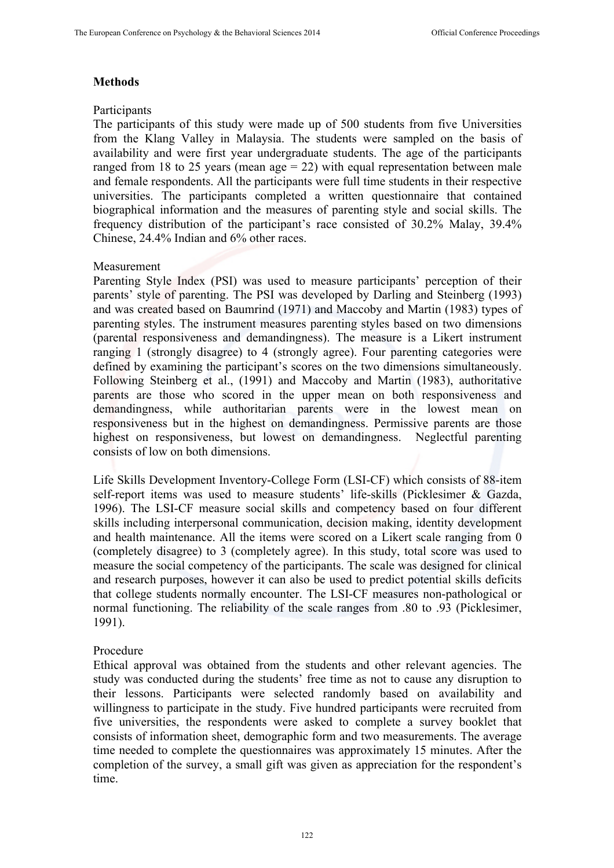## **Methods**

## **Participants**

The participants of this study were made up of 500 students from five Universities from the Klang Valley in Malaysia. The students were sampled on the basis of availability and were first year undergraduate students. The age of the participants ranged from 18 to 25 years (mean age  $= 22$ ) with equal representation between male and female respondents. All the participants were full time students in their respective universities. The participants completed a written questionnaire that contained biographical information and the measures of parenting style and social skills. The frequency distribution of the participant's race consisted of 30.2% Malay, 39.4% Chinese, 24.4% Indian and 6% other races.

#### Measurement

Parenting Style Index (PSI) was used to measure participants' perception of their parents' style of parenting. The PSI was developed by Darling and Steinberg (1993) and was created based on Baumrind (1971) and Maccoby and Martin (1983) types of parenting styles. The instrument measures parenting styles based on two dimensions (parental responsiveness and demandingness). The measure is a Likert instrument ranging 1 (strongly disagree) to 4 (strongly agree). Four parenting categories were defined by examining the participant's scores on the two dimensions simultaneously. Following Steinberg et al., (1991) and Maccoby and Martin (1983), authoritative parents are those who scored in the upper mean on both responsiveness and demandingness, while authoritarian parents were in the lowest mean on responsiveness but in the highest on demandingness. Permissive parents are those highest on responsiveness, but lowest on demandingness. Neglectful parenting consists of low on both dimensions.

Life Skills Development Inventory-College Form (LSI-CF) which consists of 88-item self-report items was used to measure students' life-skills (Picklesimer & Gazda, 1996). The LSI-CF measure social skills and competency based on four different skills including interpersonal communication, decision making, identity development and health maintenance. All the items were scored on a Likert scale ranging from 0 (completely disagree) to 3 (completely agree). In this study, total score was used to measure the social competency of the participants. The scale was designed for clinical and research purposes, however it can also be used to predict potential skills deficits that college students normally encounter. The LSI-CF measures non-pathological or normal functioning. The reliability of the scale ranges from .80 to .93 (Picklesimer, 1991).

## Procedure

Ethical approval was obtained from the students and other relevant agencies. The study was conducted during the students' free time as not to cause any disruption to their lessons. Participants were selected randomly based on availability and willingness to participate in the study. Five hundred participants were recruited from five universities, the respondents were asked to complete a survey booklet that consists of information sheet, demographic form and two measurements. The average time needed to complete the questionnaires was approximately 15 minutes. After the completion of the survey, a small gift was given as appreciation for the respondent's time.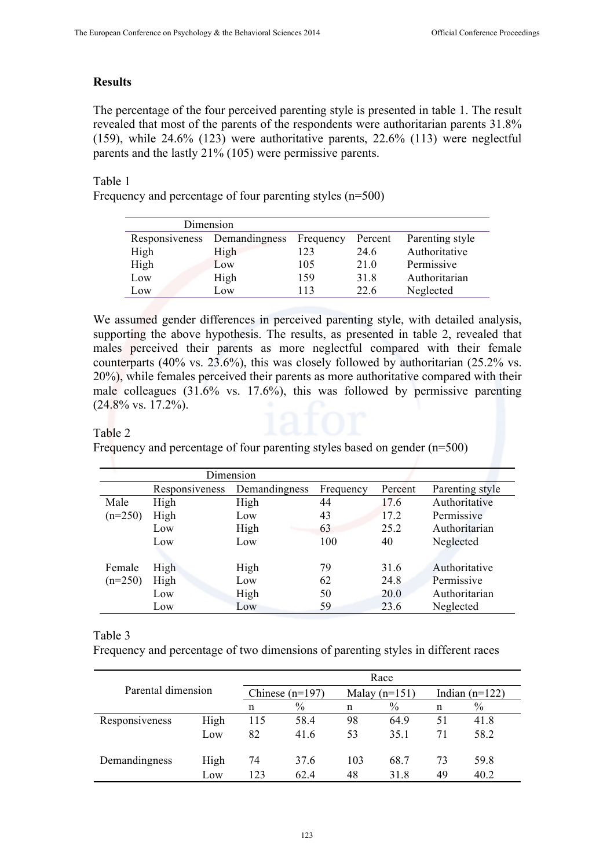## **Results**

The percentage of the four perceived parenting style is presented in table 1. The result revealed that most of the parents of the respondents were authoritarian parents 31.8% (159), while 24.6% (123) were authoritative parents, 22.6% (113) were neglectful parents and the lastly 21% (105) were permissive parents.

## Table 1

Frequency and percentage of four parenting styles (n=500)

|      | Dimension                    |           |         |                 |
|------|------------------------------|-----------|---------|-----------------|
|      | Responsiveness Demandingness | Frequency | Percent | Parenting style |
| High | High                         | 123       | 24.6    | Authoritative   |
| High | Low                          | 105       | 21.0    | Permissive      |
| Low  | High                         | 159       | 31.8    | Authoritarian   |
| Low  | LOW                          | 113       | 22.6    | Neglected       |

We assumed gender differences in perceived parenting style, with detailed analysis, supporting the above hypothesis. The results, as presented in table 2, revealed that males perceived their parents as more neglectful compared with their female counterparts (40% vs. 23.6%), this was closely followed by authoritarian (25.2% vs. 20%), while females perceived their parents as more authoritative compared with their male colleagues (31.6% vs. 17.6%), this was followed by permissive parenting  $(24.8\% \text{ vs. } 17.2\%)$ .

#### Table 2

Frequency and percentage of four parenting styles based on gender (n=500)

| Dimension |                |               |           |         |                 |  |
|-----------|----------------|---------------|-----------|---------|-----------------|--|
|           | Responsiveness | Demandingness | Frequency | Percent | Parenting style |  |
| Male      | High           | High          | 44        | 17.6    | Authoritative   |  |
| $(n=250)$ | High           | Low           | 43        | 17.2    | Permissive      |  |
|           | Low            | High          | 63        | 25.2    | Authoritarian   |  |
|           | Low            | Low           | 100       | 40      | Neglected       |  |
|           |                |               |           |         |                 |  |
| Female    | High           | High          | 79        | 31.6    | Authoritative   |  |
| $(n=250)$ | High           | Low           | 62        | 24.8    | Permissive      |  |
|           | Low            | High          | 50        | 20.0    | Authoritarian   |  |
|           | Low            | Low           | 59        | 23.6    | Neglected       |  |

Table 3

Frequency and percentage of two dimensions of parenting styles in different races

| Parental dimension |      | Race              |      |                 |               |                  |      |
|--------------------|------|-------------------|------|-----------------|---------------|------------------|------|
|                    |      | Chinese $(n=197)$ |      | Malay $(n=151)$ |               | Indian $(n=122)$ |      |
|                    |      | n                 | $\%$ | n               | $\frac{0}{0}$ | n                | $\%$ |
| Responsiveness     | High | 115               | 58.4 | 98              | 64.9          | 51               | 41.8 |
|                    | Low  | 82                | 41.6 | 53              | 35.1          | 71               | 58.2 |
| Demandingness      | High | 74                | 37.6 | 103             | 68.7          | 73               | 59.8 |
|                    | Low  | 123               | 62.4 | 48              | 31.8          | 49               | 40.2 |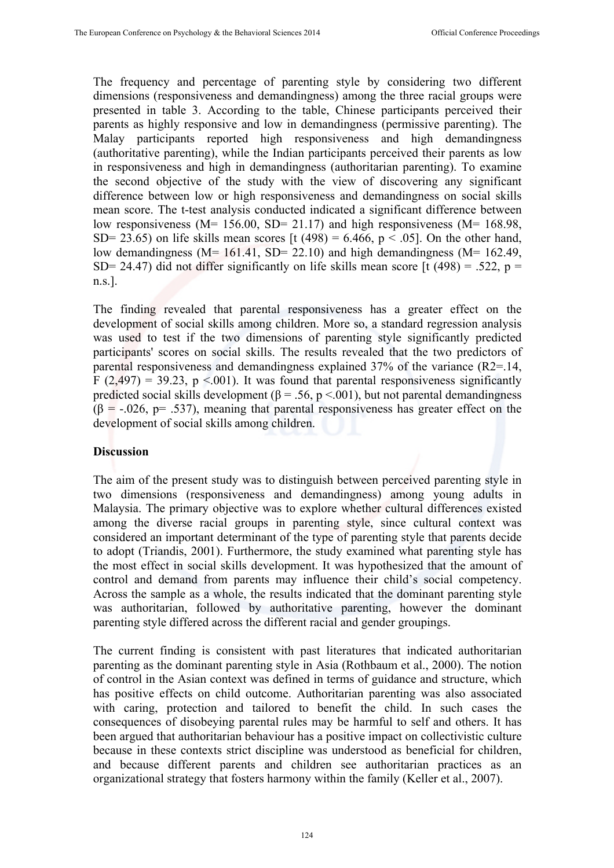The frequency and percentage of parenting style by considering two different dimensions (responsiveness and demandingness) among the three racial groups were presented in table 3. According to the table, Chinese participants perceived their parents as highly responsive and low in demandingness (permissive parenting). The Malay participants reported high responsiveness and high demandingness (authoritative parenting), while the Indian participants perceived their parents as low in responsiveness and high in demandingness (authoritarian parenting). To examine the second objective of the study with the view of discovering any significant difference between low or high responsiveness and demandingness on social skills mean score. The t-test analysis conducted indicated a significant difference between low responsiveness ( $M= 156.00$ ,  $SD= 21.17$ ) and high responsiveness ( $M= 168.98$ , SD= 23.65) on life skills mean scores [t (498) = 6.466,  $p < .05$ ]. On the other hand, low demandingness ( $M= 161.41$ ,  $SD= 22.10$ ) and high demandingness ( $M= 162.49$ , SD= 24.47) did not differ significantly on life skills mean score [t (498) = .522, p = n.s.].

The finding revealed that parental responsiveness has a greater effect on the development of social skills among children. More so, a standard regression analysis was used to test if the two dimensions of parenting style significantly predicted participants' scores on social skills. The results revealed that the two predictors of parental responsiveness and demandingness explained 37% of the variance (R2=.14, F (2,497) = 39.23, p <.001). It was found that parental responsiveness significantly predicted social skills development ( $\beta$  = .56, p <.001), but not parental demandingness  $(\beta = -0.026, p = .537)$ , meaning that parental responsiveness has greater effect on the development of social skills among children.

#### **Discussion**

The aim of the present study was to distinguish between perceived parenting style in two dimensions (responsiveness and demandingness) among young adults in Malaysia. The primary objective was to explore whether cultural differences existed among the diverse racial groups in parenting style, since cultural context was considered an important determinant of the type of parenting style that parents decide to adopt (Triandis, 2001). Furthermore, the study examined what parenting style has the most effect in social skills development. It was hypothesized that the amount of control and demand from parents may influence their child's social competency. Across the sample as a whole, the results indicated that the dominant parenting style was authoritarian, followed by authoritative parenting, however the dominant parenting style differed across the different racial and gender groupings.

The current finding is consistent with past literatures that indicated authoritarian parenting as the dominant parenting style in Asia (Rothbaum et al., 2000). The notion of control in the Asian context was defined in terms of guidance and structure, which has positive effects on child outcome. Authoritarian parenting was also associated with caring, protection and tailored to benefit the child. In such cases the consequences of disobeying parental rules may be harmful to self and others. It has been argued that authoritarian behaviour has a positive impact on collectivistic culture because in these contexts strict discipline was understood as beneficial for children, and because different parents and children see authoritarian practices as an organizational strategy that fosters harmony within the family (Keller et al., 2007).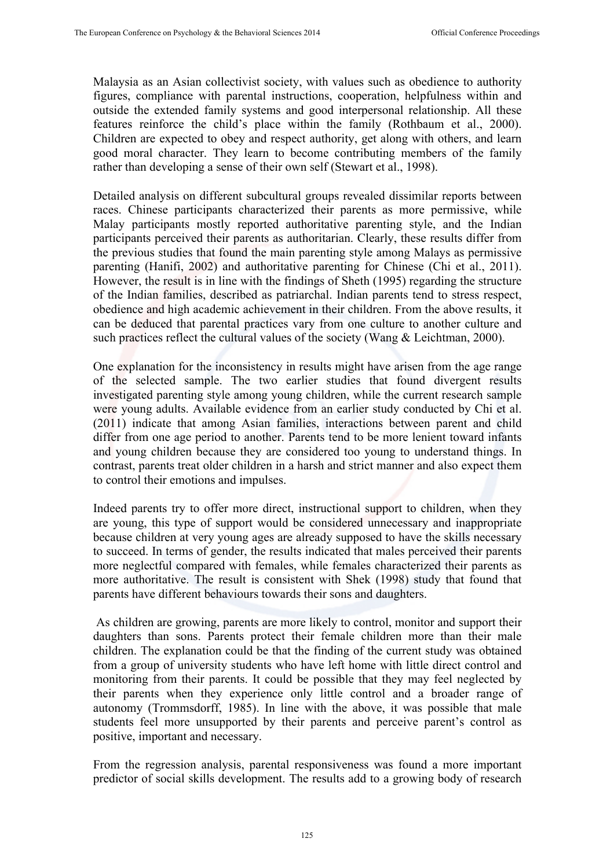Malaysia as an Asian collectivist society, with values such as obedience to authority figures, compliance with parental instructions, cooperation, helpfulness within and outside the extended family systems and good interpersonal relationship. All these features reinforce the child's place within the family (Rothbaum et al., 2000). Children are expected to obey and respect authority, get along with others, and learn good moral character. They learn to become contributing members of the family rather than developing a sense of their own self (Stewart et al., 1998).

Detailed analysis on different subcultural groups revealed dissimilar reports between races. Chinese participants characterized their parents as more permissive, while Malay participants mostly reported authoritative parenting style, and the Indian participants perceived their parents as authoritarian. Clearly, these results differ from the previous studies that found the main parenting style among Malays as permissive parenting (Hanifi, 2002) and authoritative parenting for Chinese (Chi et al., 2011). However, the result is in line with the findings of Sheth (1995) regarding the structure of the Indian families, described as patriarchal. Indian parents tend to stress respect, obedience and high academic achievement in their children. From the above results, it can be deduced that parental practices vary from one culture to another culture and such practices reflect the cultural values of the society (Wang & Leichtman, 2000).

One explanation for the inconsistency in results might have arisen from the age range of the selected sample. The two earlier studies that found divergent results investigated parenting style among young children, while the current research sample were young adults. Available evidence from an earlier study conducted by Chi et al. (2011) indicate that among Asian families, interactions between parent and child differ from one age period to another. Parents tend to be more lenient toward infants and young children because they are considered too young to understand things. In contrast, parents treat older children in a harsh and strict manner and also expect them to control their emotions and impulses.

Indeed parents try to offer more direct, instructional support to children, when they are young, this type of support would be considered unnecessary and inappropriate because children at very young ages are already supposed to have the skills necessary to succeed. In terms of gender, the results indicated that males perceived their parents more neglectful compared with females, while females characterized their parents as more authoritative. The result is consistent with Shek (1998) study that found that parents have different behaviours towards their sons and daughters.

 As children are growing, parents are more likely to control, monitor and support their daughters than sons. Parents protect their female children more than their male children. The explanation could be that the finding of the current study was obtained from a group of university students who have left home with little direct control and monitoring from their parents. It could be possible that they may feel neglected by their parents when they experience only little control and a broader range of autonomy (Trommsdorff, 1985). In line with the above, it was possible that male students feel more unsupported by their parents and perceive parent's control as positive, important and necessary.

From the regression analysis, parental responsiveness was found a more important predictor of social skills development. The results add to a growing body of research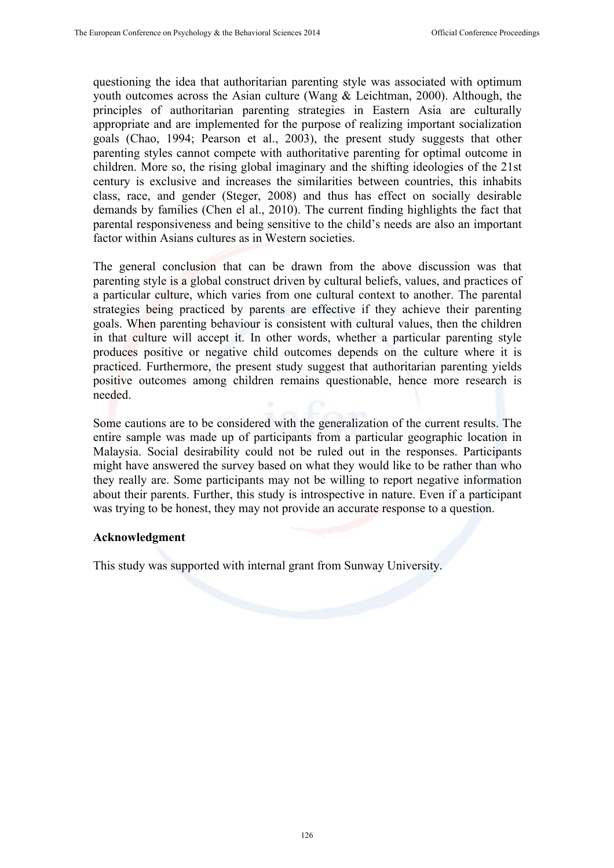questioning the idea that authoritarian parenting style was associated with optimum youth outcomes across the Asian culture (Wang & Leichtman, 2000). Although, the principles of authoritarian parenting strategies in Eastern Asia are culturally appropriate and are implemented for the purpose of realizing important socialization goals (Chao, 1994; Pearson et al., 2003), the present study suggests that other parenting styles cannot compete with authoritative parenting for optimal outcome in children. More so, the rising global imaginary and the shifting ideologies of the 21st century is exclusive and increases the similarities between countries, this inhabits class, race, and gender (Steger, 2008) and thus has effect on socially desirable demands by families (Chen el al., 2010). The current finding highlights the fact that parental responsiveness and being sensitive to the child's needs are also an important factor within Asians cultures as in Western societies.

The general conclusion that can be drawn from the above discussion was that parenting style is a global construct driven by cultural beliefs, values, and practices of a particular culture, which varies from one cultural context to another. The parental strategies being practiced by parents are effective if they achieve their parenting goals. When parenting behaviour is consistent with cultural values, then the children in that culture will accept it. In other words, whether a particular parenting style produces positive or negative child outcomes depends on the culture where it is practiced. Furthermore, the present study suggest that authoritarian parenting yields positive outcomes among children remains questionable, hence more research is needed.

Some cautions are to be considered with the generalization of the current results. The entire sample was made up of participants from a particular geographic location in Malaysia. Social desirability could not be ruled out in the responses. Participants might have answered the survey based on what they would like to be rather than who they really are. Some participants may not be willing to report negative information about their parents. Further, this study is introspective in nature. Even if a participant was trying to be honest, they may not provide an accurate response to a question.

## **Acknowledgment**

This study was supported with internal grant from Sunway University.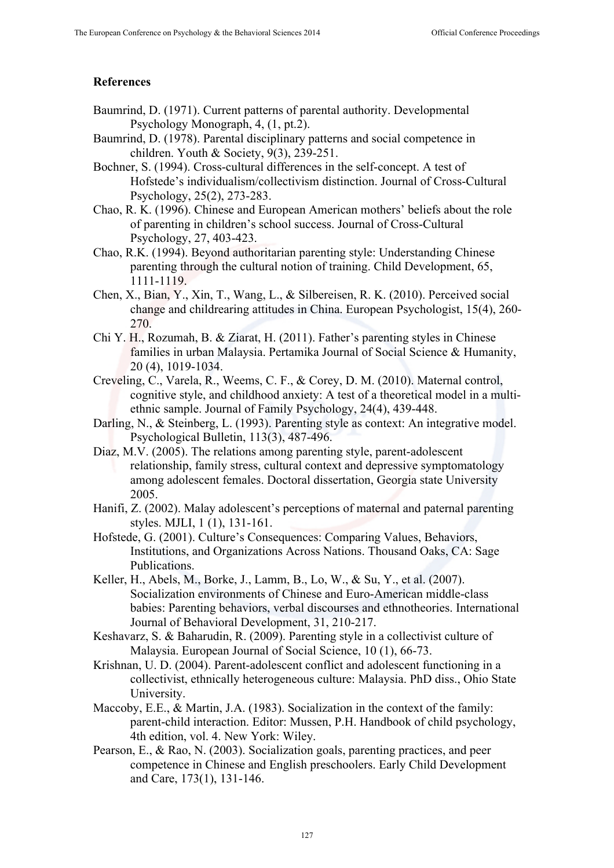## **References**

- Baumrind, D. (1971). Current patterns of parental authority. Developmental Psychology Monograph, 4, (1, pt.2).
- Baumrind, D. (1978). Parental disciplinary patterns and social competence in children. Youth & Society, 9(3), 239-251.
- Bochner, S. (1994). Cross-cultural differences in the self-concept. A test of Hofstede's individualism/collectivism distinction. Journal of Cross-Cultural Psychology, 25(2), 273-283.
- Chao, R. K. (1996). Chinese and European American mothers' beliefs about the role of parenting in children's school success. Journal of Cross-Cultural Psychology, 27, 403-423.
- Chao, R.K. (1994). Beyond authoritarian parenting style: Understanding Chinese parenting through the cultural notion of training. Child Development, 65, 1111-1119.
- Chen, X., Bian, Y., Xin, T., Wang, L., & Silbereisen, R. K. (2010). Perceived social change and childrearing attitudes in China. European Psychologist, 15(4), 260- 270.
- Chi Y. H., Rozumah, B. & Ziarat, H. (2011). Father's parenting styles in Chinese families in urban Malaysia. Pertamika Journal of Social Science & Humanity, 20 (4), 1019-1034.
- Creveling, C., Varela, R., Weems, C. F., & Corey, D. M. (2010). Maternal control, cognitive style, and childhood anxiety: A test of a theoretical model in a multiethnic sample. Journal of Family Psychology, 24(4), 439-448.
- Darling, N., & Steinberg, L. (1993). Parenting style as context: An integrative model. Psychological Bulletin, 113(3), 487-496.
- Diaz, M.V. (2005). The relations among parenting style, parent-adolescent relationship, family stress, cultural context and depressive symptomatology among adolescent females. Doctoral dissertation, Georgia state University 2005.
- Hanifi, Z. (2002). Malay adolescent's perceptions of maternal and paternal parenting styles. MJLI, 1 (1), 131-161.
- Hofstede, G. (2001). Culture's Consequences: Comparing Values, Behaviors, Institutions, and Organizations Across Nations. Thousand Oaks, CA: Sage Publications.
- Keller, H., Abels, M., Borke, J., Lamm, B., Lo, W., & Su, Y., et al. (2007). Socialization environments of Chinese and Euro-American middle-class babies: Parenting behaviors, verbal discourses and ethnotheories. International Journal of Behavioral Development, 31, 210-217.
- Keshavarz, S. & Baharudin, R. (2009). Parenting style in a collectivist culture of Malaysia. European Journal of Social Science, 10 (1), 66-73.
- Krishnan, U. D. (2004). Parent-adolescent conflict and adolescent functioning in a collectivist, ethnically heterogeneous culture: Malaysia. PhD diss., Ohio State University.
- Maccoby, E.E., & Martin, J.A. (1983). Socialization in the context of the family: parent-child interaction. Editor: Mussen, P.H. Handbook of child psychology, 4th edition, vol. 4. New York: Wiley.
- Pearson, E., & Rao, N. (2003). Socialization goals, parenting practices, and peer competence in Chinese and English preschoolers. Early Child Development and Care, 173(1), 131-146.